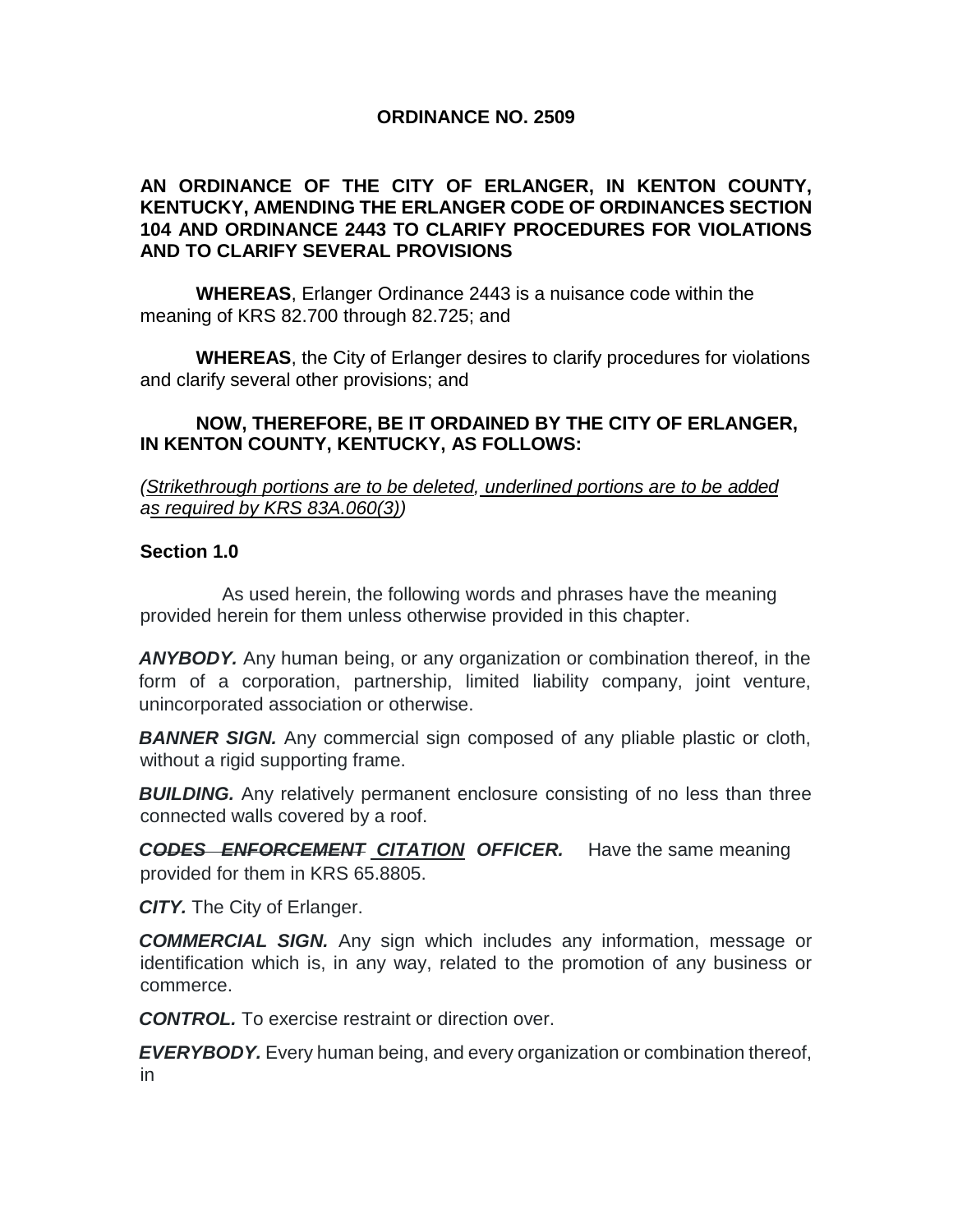### **ORDINANCE NO. 2509**

### **AN ORDINANCE OF THE CITY OF ERLANGER, IN KENTON COUNTY, KENTUCKY, AMENDING THE ERLANGER CODE OF ORDINANCES SECTION 104 AND ORDINANCE 2443 TO CLARIFY PROCEDURES FOR VIOLATIONS AND TO CLARIFY SEVERAL PROVISIONS**

**WHEREAS**, Erlanger Ordinance 2443 is a nuisance code within the meaning of KRS 82.700 through 82.725; and

**WHEREAS**, the City of Erlanger desires to clarify procedures for violations and clarify several other provisions; and

#### **NOW, THEREFORE, BE IT ORDAINED BY THE CITY OF ERLANGER, IN KENTON COUNTY, KENTUCKY, AS FOLLOWS:**

*(Strikethrough portions are to be deleted, underlined portions are to be added as required by KRS 83A.060(3))*

#### **Section 1.0**

As used herein, the following words and phrases have the meaning provided herein for them unless otherwise provided in this chapter.

*ANYBODY.* Any human being, or any organization or combination thereof, in the form of a corporation, partnership, limited liability company, joint venture, unincorporated association or otherwise.

**BANNER SIGN.** Any commercial sign composed of any pliable plastic or cloth, without a rigid supporting frame.

**BUILDING.** Any relatively permanent enclosure consisting of no less than three connected walls covered by a roof.

*CODES ENFORCEMENT CITATION OFFICER.* Have the same meaning provided for them in KRS 65.8805.

*CITY.* The City of Erlanger.

*COMMERCIAL SIGN.* Any sign which includes any information, message or identification which is, in any way, related to the promotion of any business or commerce.

*CONTROL.* To exercise restraint or direction over.

*EVERYBODY.* Every human being, and every organization or combination thereof, in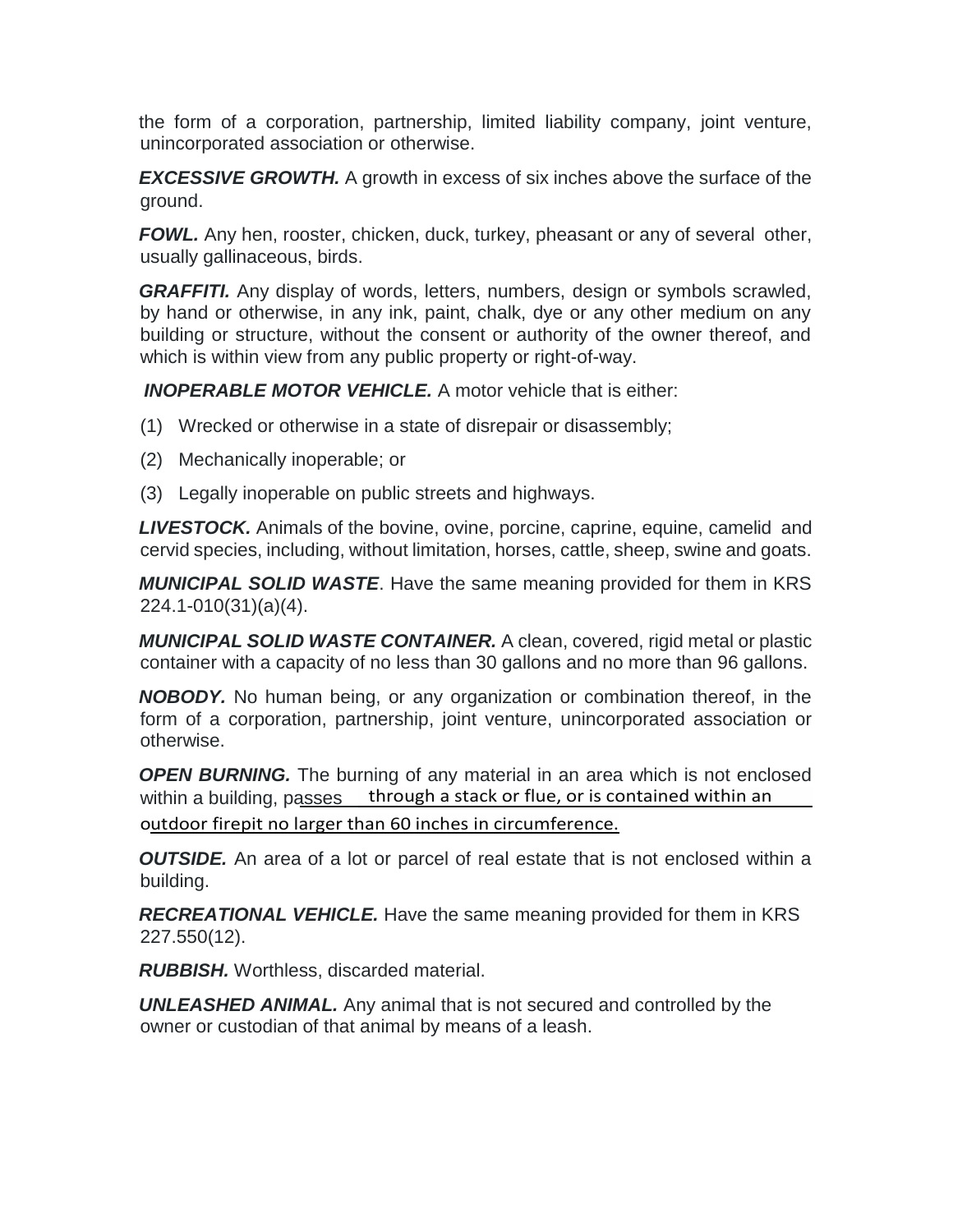the form of a corporation, partnership, limited liability company, joint venture, unincorporated association or otherwise.

*EXCESSIVE GROWTH.* A growth in excess of six inches above the surface of the ground.

*FOWL.* Any hen, rooster, chicken, duck, turkey, pheasant or any of several other, usually gallinaceous, birds.

**GRAFFITI.** Any display of words, letters, numbers, design or symbols scrawled, by hand or otherwise, in any ink, paint, chalk, dye or any other medium on any building or structure, without the consent or authority of the owner thereof, and which is within view from any public property or right-of-way.

*INOPERABLE MOTOR VEHICLE.* A motor vehicle that is either:

- (1) Wrecked or otherwise in a state of disrepair or disassembly;
- (2) Mechanically inoperable; or
- (3) Legally inoperable on public streets and highways.

*LIVESTOCK.* Animals of the bovine, ovine, porcine, caprine, equine, camelid and cervid species, including, without limitation, horses, cattle, sheep, swine and goats.

*MUNICIPAL SOLID WASTE*. Have the same meaning provided for them in KRS 224.1-010(31)(a)(4).

*MUNICIPAL SOLID WASTE CONTAINER.* A clean, covered, rigid metal or plastic container with a capacity of no less than 30 gallons and no more than 96 gallons.

*NOBODY.* No human being, or any organization or combination thereof, in the form of a corporation, partnership, joint venture, unincorporated association or otherwise.

within a building, passes through a stack or flue, or is contained within an **OPEN BURNING.** The burning of any material in an area which is not enclosed outdoor firepit no larger than 60 inches in circumference.

*OUTSIDE.* An area of a lot or parcel of real estate that is not enclosed within a building.

*RECREATIONAL VEHICLE.* Have the same meaning provided for them in KRS 227.550(12).

*RUBBISH.* Worthless, discarded material.

*UNLEASHED ANIMAL.* Any animal that is not secured and controlled by the owner or custodian of that animal by means of a leash.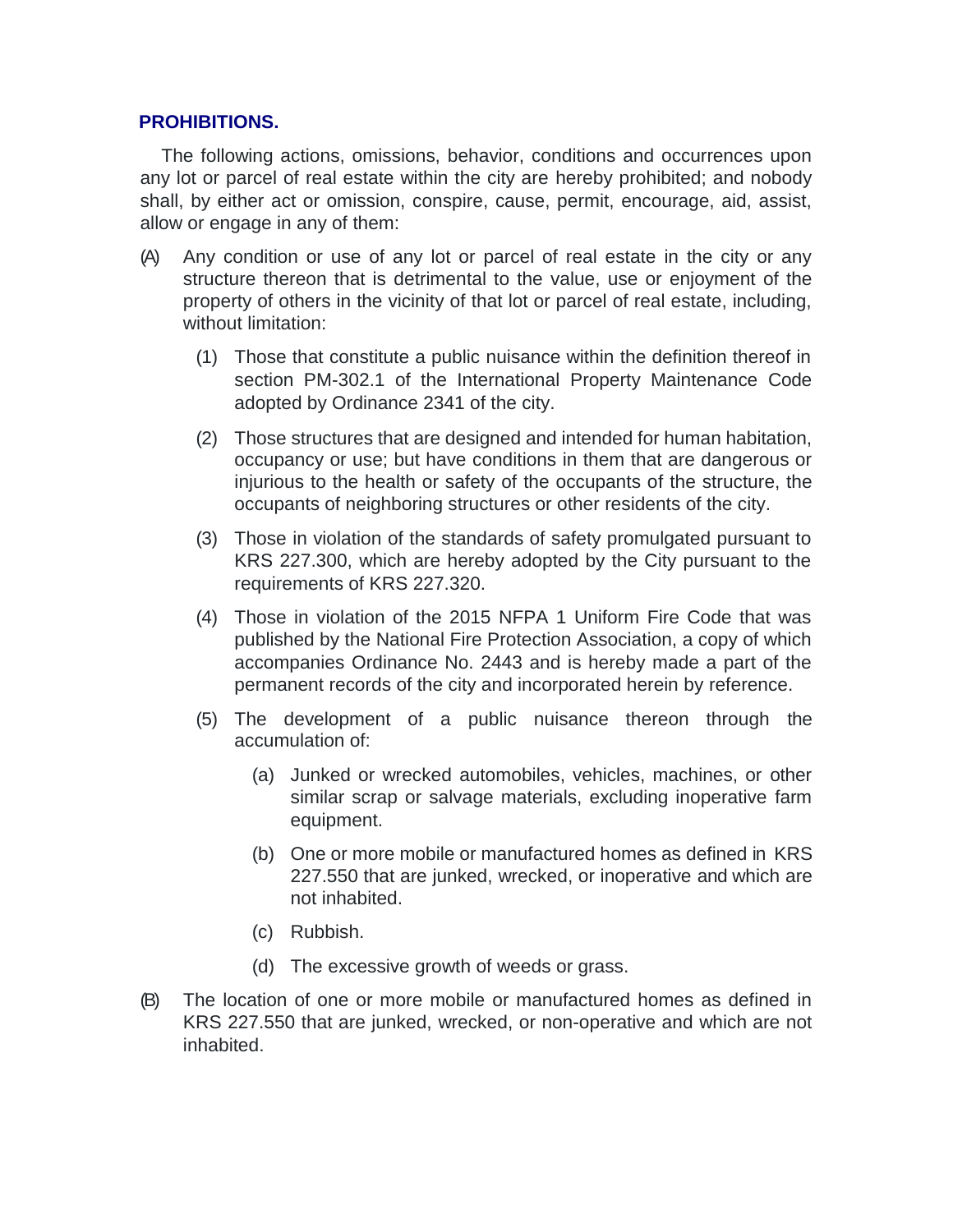### **PROHIBITIONS.**

The following actions, omissions, behavior, conditions and occurrences upon any lot or parcel of real estate within the city are hereby prohibited; and nobody shall, by either act or omission, conspire, cause, permit, encourage, aid, assist, allow or engage in any of them:

- (A) Any condition or use of any lot or parcel of real estate in the city or any structure thereon that is detrimental to the value, use or enjoyment of the property of others in the vicinity of that lot or parcel of real estate, including, without limitation:
	- (1) Those that constitute a public nuisance within the definition thereof in section PM-302.1 of the International Property Maintenance Code adopted by Ordinance 2341 of the city.
	- (2) Those structures that are designed and intended for human habitation, occupancy or use; but have conditions in them that are dangerous or injurious to the health or safety of the occupants of the structure, the occupants of neighboring structures or other residents of the city.
	- (3) Those in violation of the standards of safety promulgated pursuant to KRS 227.300, which are hereby adopted by the City pursuant to the requirements of KRS 227.320.
	- (4) Those in violation of the 2015 NFPA 1 Uniform Fire Code that was published by the National Fire Protection Association, a copy of which accompanies Ordinance No. 2443 and is hereby made a part of the permanent records of the city and incorporated herein by reference.
	- (5) The development of a public nuisance thereon through the accumulation of:
		- (a) Junked or wrecked automobiles, vehicles, machines, or other similar scrap or salvage materials, excluding inoperative farm equipment.
		- (b) One or more mobile or manufactured homes as defined in KRS 227.550 that are junked, wrecked, or inoperative and which are not inhabited.
		- (c) Rubbish.
		- (d) The excessive growth of weeds or grass.
- (B) The location of one or more mobile or manufactured homes as defined in KRS 227.550 that are junked, wrecked, or non-operative and which are not inhabited.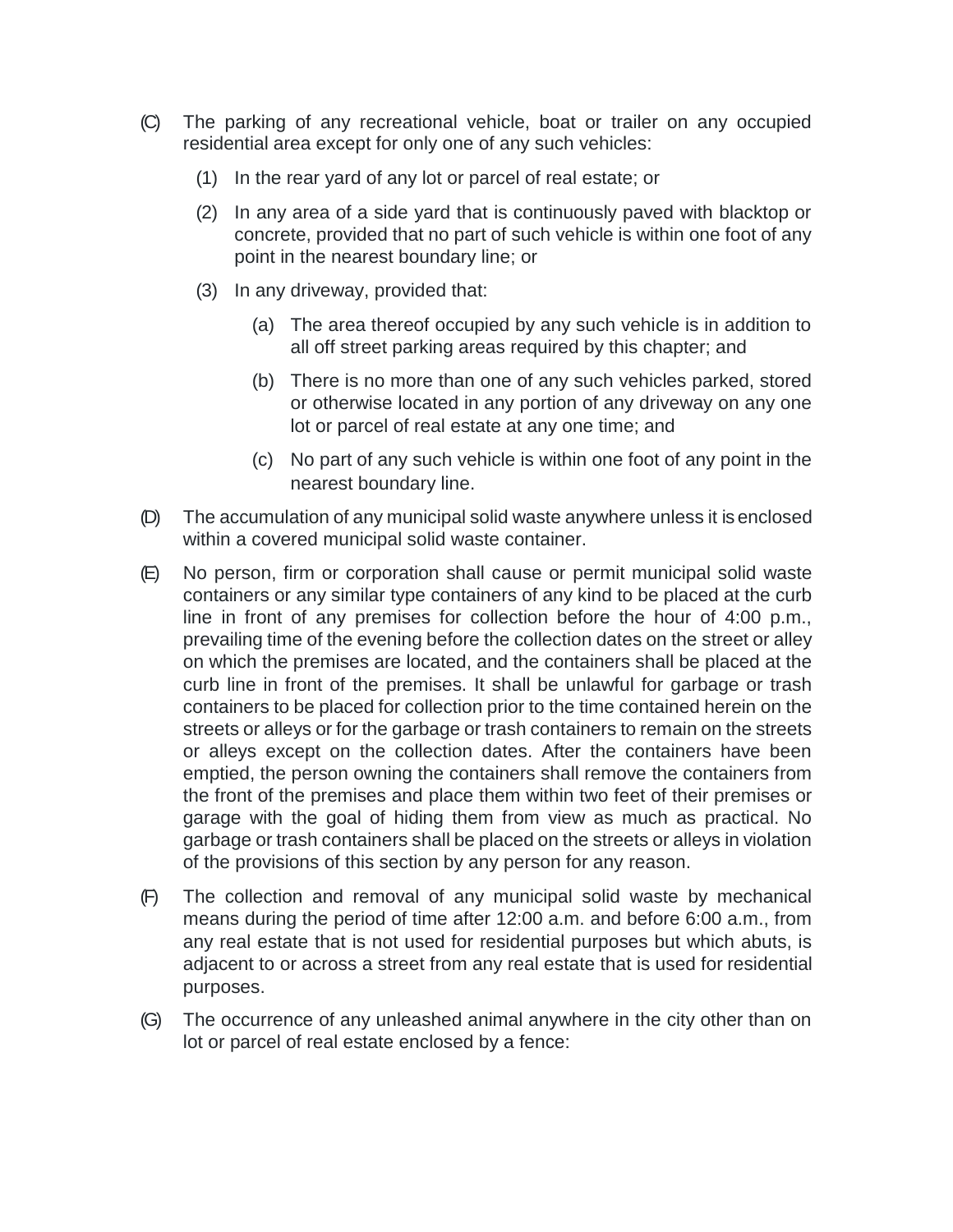- (C) The parking of any recreational vehicle, boat or trailer on any occupied residential area except for only one of any such vehicles:
	- (1) In the rear yard of any lot or parcel of real estate; or
	- (2) In any area of a side yard that is continuously paved with blacktop or concrete, provided that no part of such vehicle is within one foot of any point in the nearest boundary line; or
	- (3) In any driveway, provided that:
		- (a) The area thereof occupied by any such vehicle is in addition to all off street parking areas required by this chapter; and
		- (b) There is no more than one of any such vehicles parked, stored or otherwise located in any portion of any driveway on any one lot or parcel of real estate at any one time; and
		- (c) No part of any such vehicle is within one foot of any point in the nearest boundary line.
- (D) The accumulation of any municipal solid waste anywhere unless it is enclosed within a covered municipal solid waste container.
- (E) No person, firm or corporation shall cause or permit municipal solid waste containers or any similar type containers of any kind to be placed at the curb line in front of any premises for collection before the hour of 4:00 p.m., prevailing time of the evening before the collection dates on the street or alley on which the premises are located, and the containers shall be placed at the curb line in front of the premises. It shall be unlawful for garbage or trash containers to be placed for collection prior to the time contained herein on the streets or alleys or for the garbage or trash containers to remain on the streets or alleys except on the collection dates. After the containers have been emptied, the person owning the containers shall remove the containers from the front of the premises and place them within two feet of their premises or garage with the goal of hiding them from view as much as practical. No garbage or trash containers shall be placed on the streets or alleys in violation of the provisions of this section by any person for any reason.
- (F) The collection and removal of any municipal solid waste by mechanical means during the period of time after 12:00 a.m. and before 6:00 a.m., from any real estate that is not used for residential purposes but which abuts, is adjacent to or across a street from any real estate that is used for residential purposes.
- (G) The occurrence of any unleashed animal anywhere in the city other than on lot or parcel of real estate enclosed by a fence: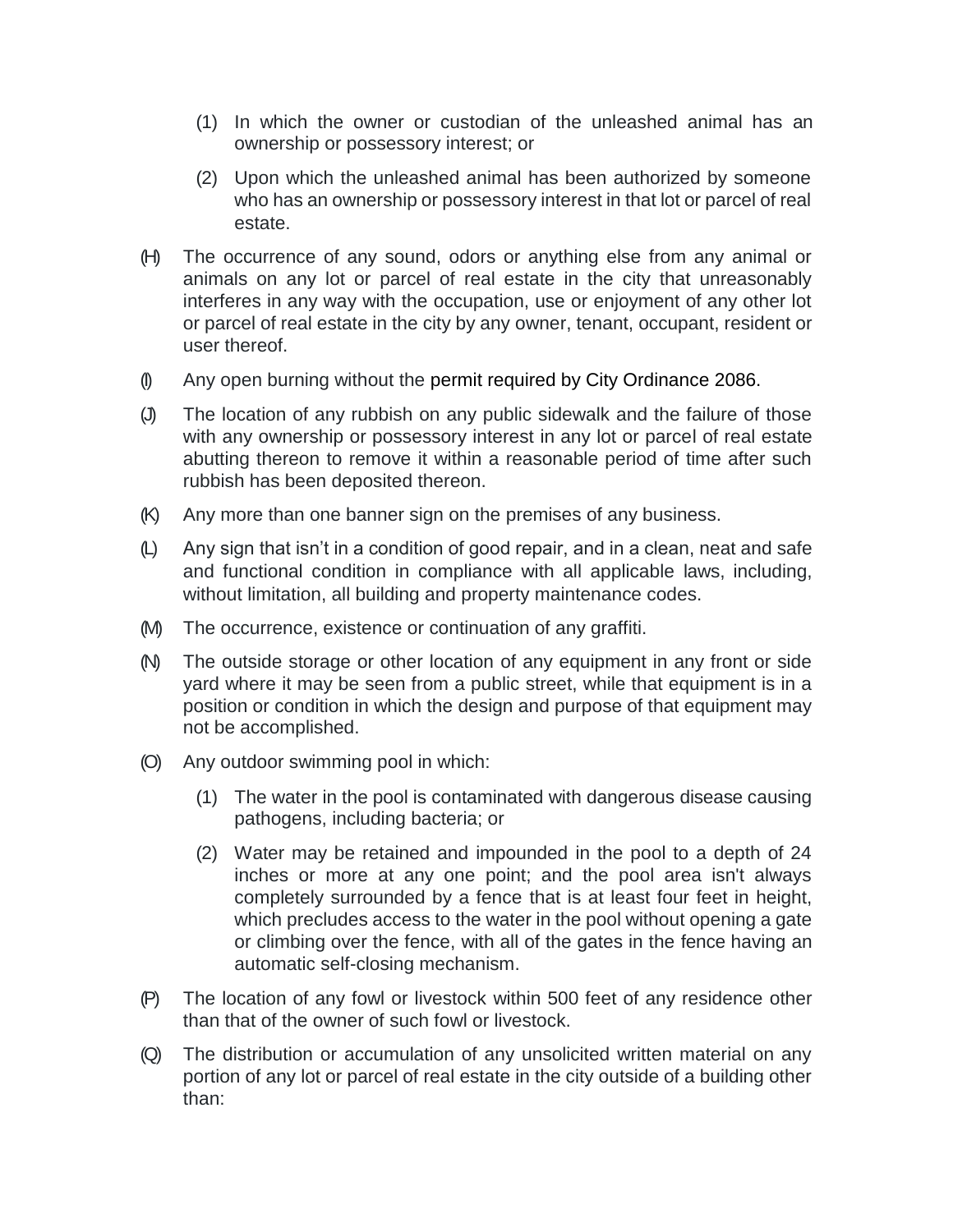- (1) In which the owner or custodian of the unleashed animal has an ownership or possessory interest; or
- (2) Upon which the unleashed animal has been authorized by someone who has an ownership or possessory interest in that lot or parcel of real estate.
- (H) The occurrence of any sound, odors or anything else from any animal or animals on any lot or parcel of real estate in the city that unreasonably interferes in any way with the occupation, use or enjoyment of any other lot or parcel of real estate in the city by any owner, tenant, occupant, resident or user thereof.
- (I) Any open burning without the permit required by City Ordinance 2086.
- (J) The location of any rubbish on any public sidewalk and the failure of those with any ownership or possessory interest in any lot or parcel of real estate abutting thereon to remove it within a reasonable period of time after such rubbish has been deposited thereon.
- (K) Any more than one banner sign on the premises of any business.
- (L) Any sign that isn't in a condition of good repair, and in a clean, neat and safe and functional condition in compliance with all applicable laws, including, without limitation, all building and property maintenance codes.
- (M) The occurrence, existence or continuation of any graffiti.
- (N) The outside storage or other location of any equipment in any front or side yard where it may be seen from a public street, while that equipment is in a position or condition in which the design and purpose of that equipment may not be accomplished.
- (O) Any outdoor swimming pool in which:
	- (1) The water in the pool is contaminated with dangerous disease causing pathogens, including bacteria; or
	- (2) Water may be retained and impounded in the pool to a depth of 24 inches or more at any one point; and the pool area isn't always completely surrounded by a fence that is at least four feet in height, which precludes access to the water in the pool without opening a gate or climbing over the fence, with all of the gates in the fence having an automatic self-closing mechanism.
- (P) The location of any fowl or livestock within 500 feet of any residence other than that of the owner of such fowl or livestock.
- (Q) The distribution or accumulation of any unsolicited written material on any portion of any lot or parcel of real estate in the city outside of a building other than: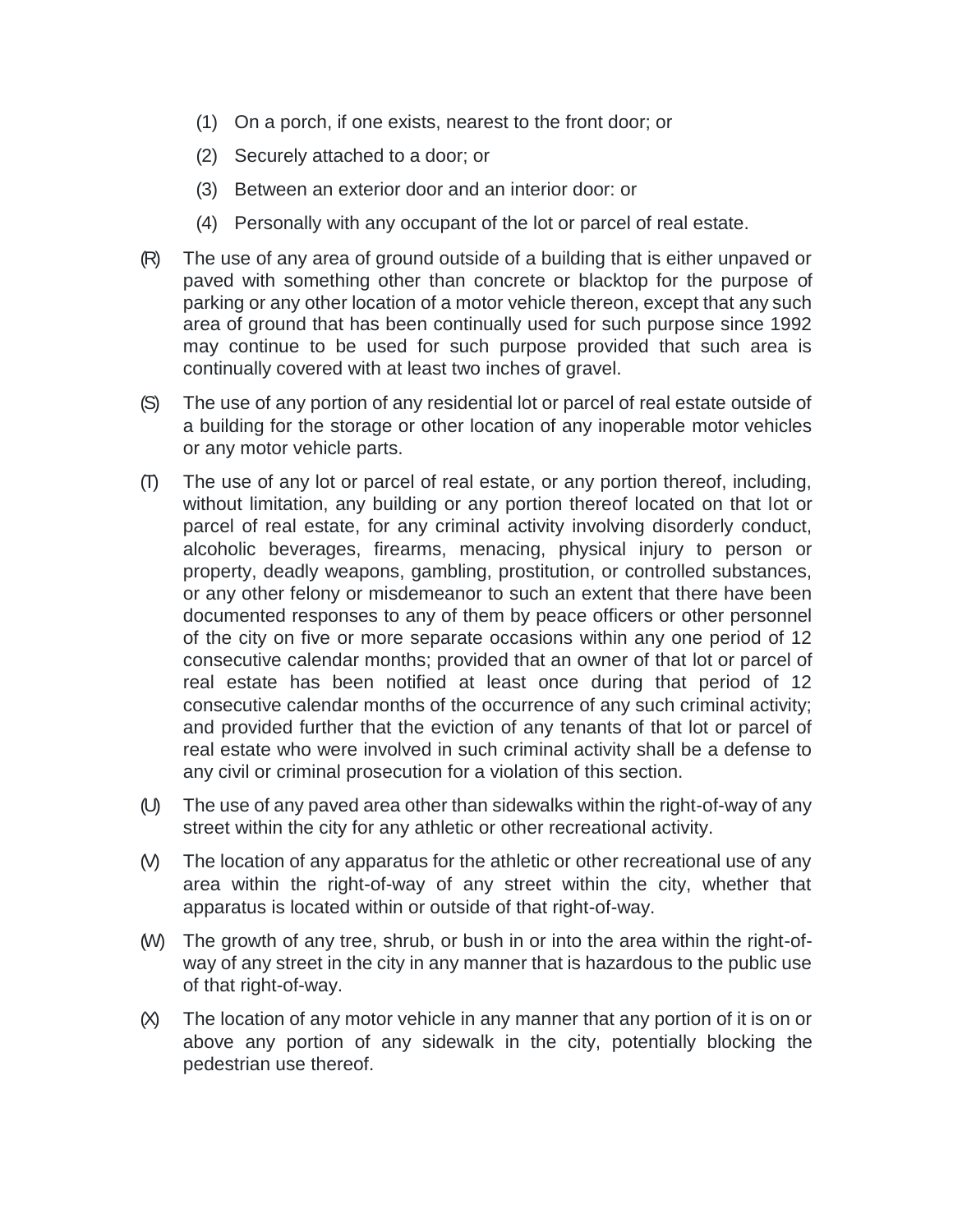- (1) On a porch, if one exists, nearest to the front door; or
- (2) Securely attached to a door; or
- (3) Between an exterior door and an interior door: or
- (4) Personally with any occupant of the lot or parcel of real estate.
- (R) The use of any area of ground outside of a building that is either unpaved or paved with something other than concrete or blacktop for the purpose of parking or any other location of a motor vehicle thereon, except that any such area of ground that has been continually used for such purpose since 1992 may continue to be used for such purpose provided that such area is continually covered with at least two inches of gravel.
- (S) The use of any portion of any residential lot or parcel of real estate outside of a building for the storage or other location of any inoperable motor vehicles or any motor vehicle parts.
- (T) The use of any lot or parcel of real estate, or any portion thereof, including, without limitation, any building or any portion thereof located on that lot or parcel of real estate, for any criminal activity involving disorderly conduct, alcoholic beverages, firearms, menacing, physical injury to person or property, deadly weapons, gambling, prostitution, or controlled substances, or any other felony or misdemeanor to such an extent that there have been documented responses to any of them by peace officers or other personnel of the city on five or more separate occasions within any one period of 12 consecutive calendar months; provided that an owner of that lot or parcel of real estate has been notified at least once during that period of 12 consecutive calendar months of the occurrence of any such criminal activity; and provided further that the eviction of any tenants of that lot or parcel of real estate who were involved in such criminal activity shall be a defense to any civil or criminal prosecution for a violation of this section.
- (U) The use of any paved area other than sidewalks within the right-of-way of any street within the city for any athletic or other recreational activity.
- (V) The location of any apparatus for the athletic or other recreational use of any area within the right-of-way of any street within the city, whether that apparatus is located within or outside of that right-of-way.
- (W) The growth of any tree, shrub, or bush in or into the area within the right-ofway of any street in the city in any manner that is hazardous to the public use of that right-of-way.
- $(X)$  The location of any motor vehicle in any manner that any portion of it is on or above any portion of any sidewalk in the city, potentially blocking the pedestrian use thereof.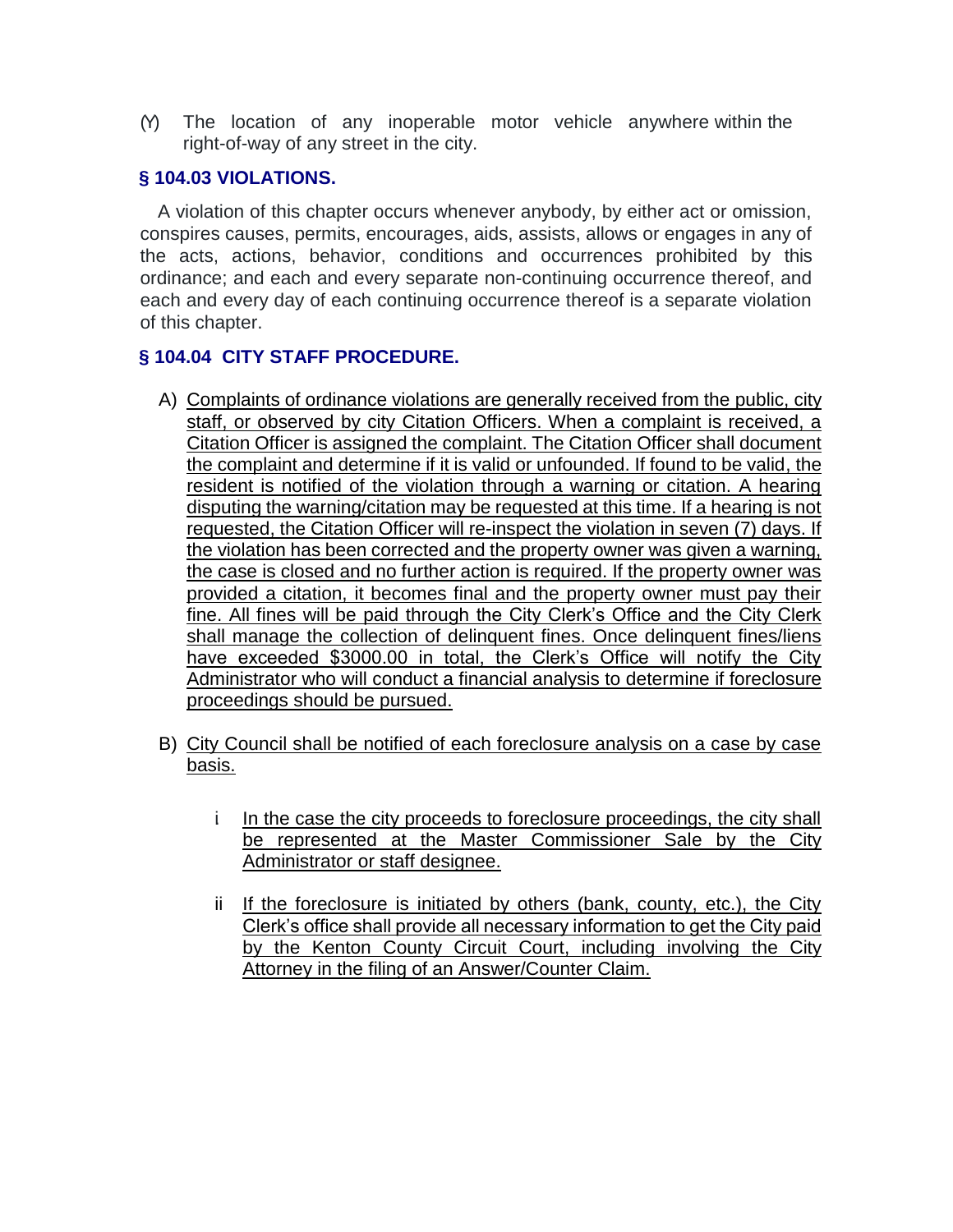(Y) The location of any inoperable motor vehicle anywhere within the right-of-way of any street in the city.

# **§ 104.03 VIOLATIONS.**

A violation of this chapter occurs whenever anybody, by either act or omission, conspires causes, permits, encourages, aids, assists, allows or engages in any of the acts, actions, behavior, conditions and occurrences prohibited by this ordinance; and each and every separate non-continuing occurrence thereof, and each and every day of each continuing occurrence thereof is a separate violation of this chapter.

# **§ 104.04 CITY STAFF PROCEDURE.**

- A) Complaints of ordinance violations are generally received from the public, city staff, or observed by city Citation Officers. When a complaint is received, a Citation Officer is assigned the complaint. The Citation Officer shall document the complaint and determine if it is valid or unfounded. If found to be valid, the resident is notified of the violation through a warning or citation. A hearing disputing the warning/citation may be requested at this time. If a hearing is not requested, the Citation Officer will re-inspect the violation in seven (7) days. If the violation has been corrected and the property owner was given a warning, the case is closed and no further action is required. If the property owner was provided a citation, it becomes final and the property owner must pay their fine. All fines will be paid through the City Clerk's Office and the City Clerk shall manage the collection of delinquent fines. Once delinquent fines/liens have exceeded \$3000.00 in total, the Clerk's Office will notify the City Administrator who will conduct a financial analysis to determine if foreclosure proceedings should be pursued.
- B) City Council shall be notified of each foreclosure analysis on a case by case basis.
	- i In the case the city proceeds to foreclosure proceedings, the city shall be represented at the Master Commissioner Sale by the City Administrator or staff designee.
	- ii If the foreclosure is initiated by others (bank, county, etc.), the City Clerk's office shall provide all necessary information to get the City paid by the Kenton County Circuit Court, including involving the City Attorney in the filing of an Answer/Counter Claim.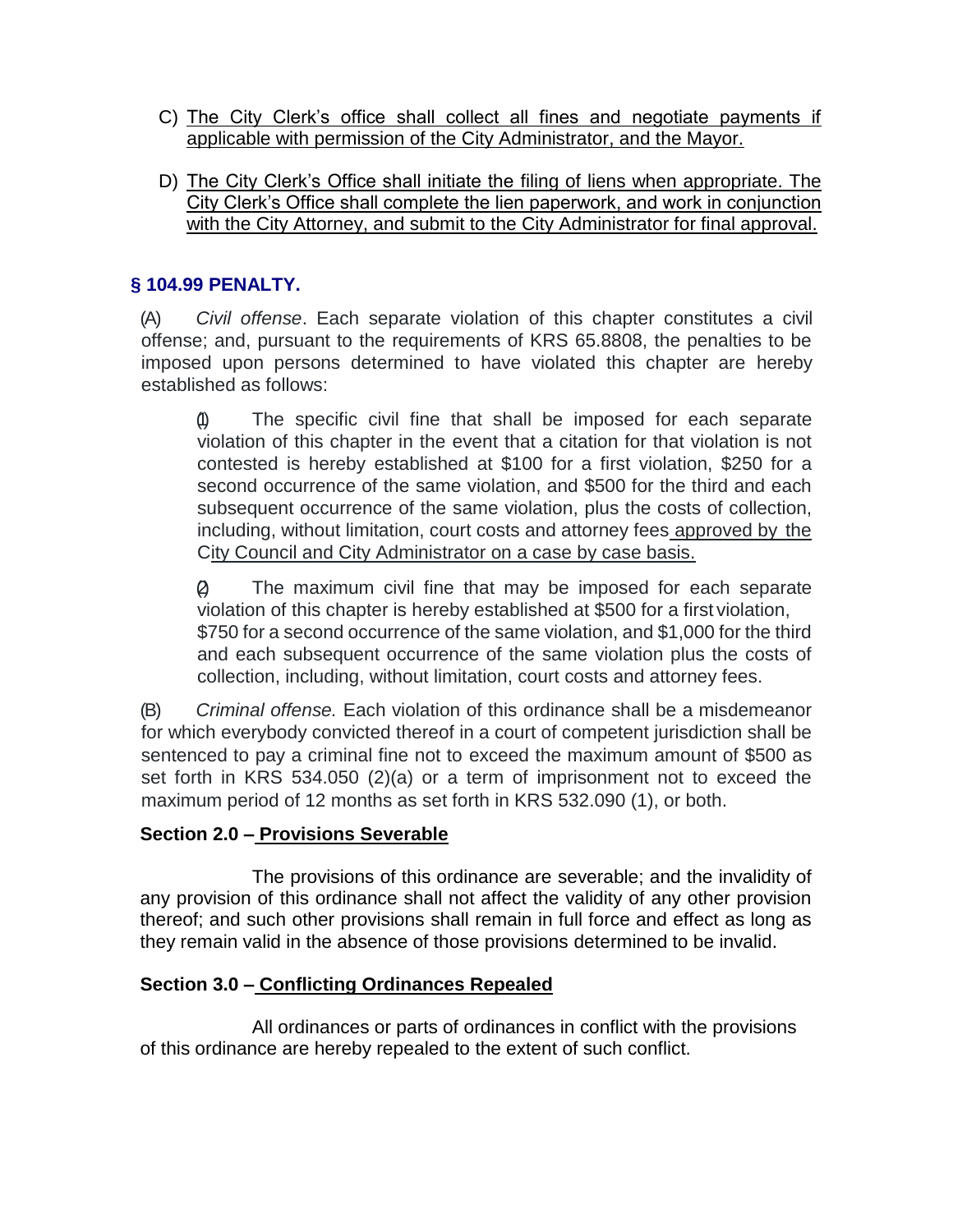- C) The City Clerk's office shall collect all fines and negotiate payments if applicable with permission of the City Administrator, and the Mayor.
- D) The City Clerk's Office shall initiate the filing of liens when appropriate. The City Clerk's Office shall complete the lien paperwork, and work in conjunction with the City Attorney, and submit to the City Administrator for final approval.

# **§ 104.99 PENALTY.**

(A) *Civil offense*. Each separate violation of this chapter constitutes a civil offense; and, pursuant to the requirements of KRS 65.8808, the penalties to be imposed upon persons determined to have violated this chapter are hereby established as follows:

(1) The specific civil fine that shall be imposed for each separate violation of this chapter in the event that a citation for that violation is not contested is hereby established at \$100 for a first violation, \$250 for a second occurrence of the same violation, and \$500 for the third and each subsequent occurrence of the same violation, plus the costs of collection, including, without limitation, court costs and attorney fees approved by the City Council and City Administrator on a case by case basis.

(2) The maximum civil fine that may be imposed for each separate violation of this chapter is hereby established at \$500 for a first violation, \$750 for a second occurrence of the same violation, and \$1,000 for the third and each subsequent occurrence of the same violation plus the costs of collection, including, without limitation, court costs and attorney fees.

(B) *Criminal offense.* Each violation of this ordinance shall be a misdemeanor for which everybody convicted thereof in a court of competent jurisdiction shall be sentenced to pay a criminal fine not to exceed the maximum amount of \$500 as set forth in KRS 534.050 (2)(a) or a term of imprisonment not to exceed the maximum period of 12 months as set forth in KRS 532.090 (1), or both.

# **Section 2.0 – Provisions Severable**

The provisions of this ordinance are severable; and the invalidity of any provision of this ordinance shall not affect the validity of any other provision thereof; and such other provisions shall remain in full force and effect as long as they remain valid in the absence of those provisions determined to be invalid.

# **Section 3.0 – Conflicting Ordinances Repealed**

All ordinances or parts of ordinances in conflict with the provisions of this ordinance are hereby repealed to the extent of such conflict.